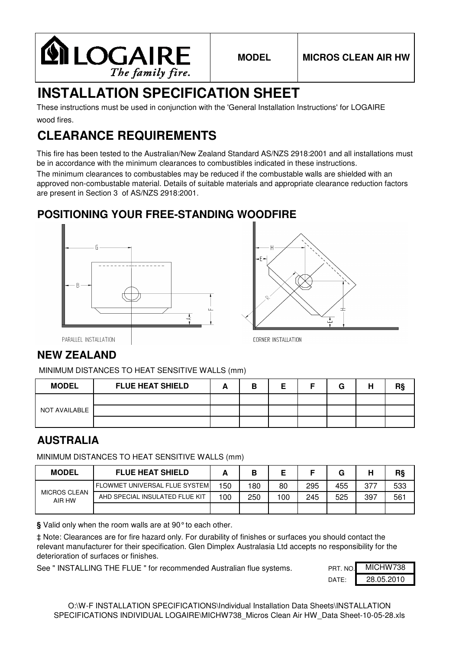

# **INSTALLATION SPECIFICATION SHEET**

wood fires. These instructions must be used in conjunction with the 'General Installation Instructions' for LOGAIRE

## **CLEARANCE REQUIREMENTS**

This fire has been tested to the Australian/New Zealand Standard AS/NZS 2918:2001 and all installations must be in accordance with the minimum clearances to combustibles indicated in these instructions.

The minimum clearances to combustables may be reduced if the combustable walls are shielded with an approved non-combustable material. Details of suitable materials and appropriate clearance reduction factors are present in Section 3 of AS/NZS 2918:2001.

#### **POSITIONING YOUR FREE-STANDING WOODFIRE**





PARALLEL INSTALLATION

### **NEW ZEALAND**

MINIMUM DISTANCES TO HEAT SENSITIVE WALLS (mm)

| <b>MODEL</b>  | <b>FLUE HEAT SHIELD</b> | ٠ |  | G | н |  |
|---------------|-------------------------|---|--|---|---|--|
|               |                         |   |  |   |   |  |
| NOT AVAILABLE |                         |   |  |   |   |  |
|               |                         |   |  |   |   |  |

#### **AUSTRALIA**

MINIMUM DISTANCES TO HEAT SENSITIVE WALLS (mm)

| <b>MODEL</b>                  | <b>FLUE HEAT SHIELD</b>               |     | В   |     |     | G   | н   | RŞ  |
|-------------------------------|---------------------------------------|-----|-----|-----|-----|-----|-----|-----|
| <b>MICROS CLEAN</b><br>AIR HW | <b>FLOWMET UNIVERSAL FLUE SYSTEMI</b> | 150 | 180 | 80  | 295 | 455 | 377 | 533 |
|                               | AHD SPECIAL INSULATED FLUE KIT        | 100 | 250 | 100 | 245 | 525 | 397 | 561 |
|                               |                                       |     |     |     |     |     |     |     |

**§** Valid only when the room walls are at 90°to each other.

‡ Note: Clearances are for fire hazard only. For durability of finishes or surfaces you should contact the relevant manufacturer for their specification. Glen Dimplex Australasia Ltd accepts no responsibility for the deterioration of surfaces or finishes.

See " INSTALLING THE FLUE " for recommended Australian flue systems.

| PRT. NO. | MICHW738   |
|----------|------------|
| DATF:    | 28.05.2010 |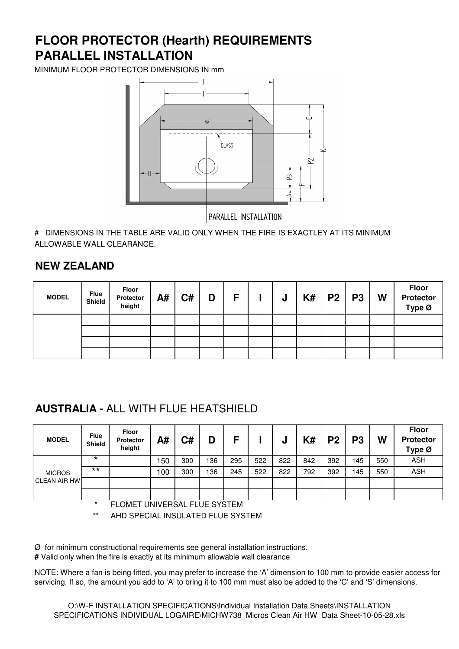## **PARALLEL INSTALLATION FLOOR PROTECTOR (Hearth) REQUIREMENTS**

MINIMUM FLOOR PROTECTOR DIMENSIONS IN mm



PARALLEL INSTALLATION

# DIMENSIONS IN THE TABLE ARE VALID ONLY WHEN THE FIRE IS EXACTLEY AT ITS MINIMUM ALLOWABLE WALL CLEARANCE.

#### **NEW ZEALAND**

| <b>MODEL</b> | <b>Flue</b><br>Shield | Floor<br>Protector<br>height | A# | C# | D | F | J | $K#$   P2   P3 | W | <b>Floor</b><br>Protector<br>Type $\varnothing$ |
|--------------|-----------------------|------------------------------|----|----|---|---|---|----------------|---|-------------------------------------------------|
|              |                       |                              |    |    |   |   |   |                |   |                                                 |
|              |                       |                              |    |    |   |   |   |                |   |                                                 |
|              |                       |                              |    |    |   |   |   |                |   |                                                 |
|              |                       |                              |    |    |   |   |   |                |   |                                                 |

#### **AUSTRALIA -** ALL WITH FLUE HEATSHIELD

| <b>MODEL</b>        | <b>Flue</b><br><b>Shield</b> | <b>Floor</b><br><b>Protector</b><br>height | A#  | C#  | D   | c   |     | u   | K#  | P <sub>2</sub> | P <sub>3</sub> | W   | <b>Floor</b><br><b>Protector</b><br>Type Ø |
|---------------------|------------------------------|--------------------------------------------|-----|-----|-----|-----|-----|-----|-----|----------------|----------------|-----|--------------------------------------------|
|                     | $\star$                      |                                            | 150 | 300 | 136 | 295 | 522 | 822 | 842 | 392            | 145            | 550 | <b>ASH</b>                                 |
| <b>MICROS</b>       | $***$                        |                                            | 100 | 300 | 136 | 245 | 522 | 822 | 792 | 392            | 145            | 550 | <b>ASH</b>                                 |
| <b>CLEAN AIR HW</b> |                              |                                            |     |     |     |     |     |     |     |                |                |     |                                            |
|                     |                              |                                            |     |     |     |     |     |     |     |                |                |     |                                            |

FLOMET UNIVERSAL FLUE SYSTEM

\*\* AHD SPECIAL INSULATED FLUE SYSTEM

Ø for minimum constructional requirements see general installation instructions.

**#** Valid only when the fire is exactly at its minimum allowable wall clearance.

NOTE: Where a fan is being fitted, you may prefer to increase the 'A' dimension to 100 mm to provide easier access for servicing. If so, the amount you add to 'A' to bring it to 100 mm must also be added to the 'C' and 'S' dimensions.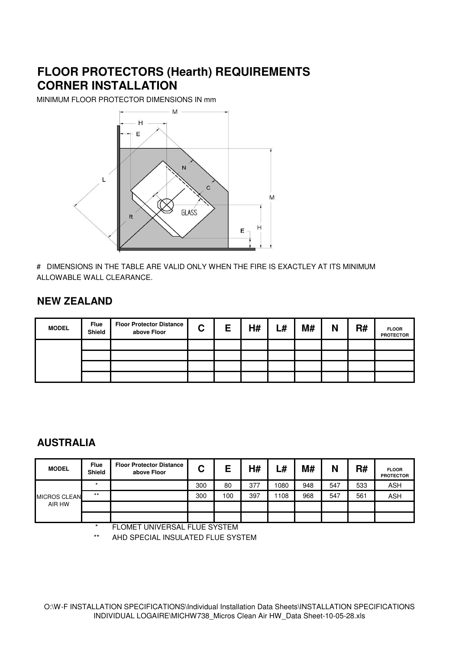### **FLOOR PROTECTORS (Hearth) REQUIREMENTS CORNER INSTALLATION**

MINIMUM FLOOR PROTECTOR DIMENSIONS IN mm



# DIMENSIONS IN THE TABLE ARE VALID ONLY WHEN THE FIRE IS EXACTLEY AT ITS MINIMUM ALLOWABLE WALL CLEARANCE.

#### **NEW ZEALAND**

| <b>MODEL</b> | <b>Flue</b><br>Shield | <b>Floor Protector Distance</b><br>above Floor | ◠<br>ີ | Е | H# | ∟# | M# | N | R# | <b>FLOOR</b><br><b>PROTECTOR</b> |
|--------------|-----------------------|------------------------------------------------|--------|---|----|----|----|---|----|----------------------------------|
|              |                       |                                                |        |   |    |    |    |   |    |                                  |
|              |                       |                                                |        |   |    |    |    |   |    |                                  |
|              |                       |                                                |        |   |    |    |    |   |    |                                  |
|              |                       |                                                |        |   |    |    |    |   |    |                                  |

#### **AUSTRALIA**

| <b>MODEL</b>        | <b>Flue</b><br><b>Shield</b> | <b>Floor Protector Distance</b><br>above Floor | ⌒<br>v | E   | H#  | L#   | M#  | N   | R#  | <b>FLOOR</b><br><b>PROTECTOR</b> |
|---------------------|------------------------------|------------------------------------------------|--------|-----|-----|------|-----|-----|-----|----------------------------------|
|                     | $\star$                      |                                                | 300    | 80  | 377 | 1080 | 948 | 547 | 533 | <b>ASH</b>                       |
| <b>MICROS CLEAN</b> | $***$                        |                                                | 300    | 100 | 397 | 108  | 968 | 547 | 561 | <b>ASH</b>                       |
| AIR HW              |                              |                                                |        |     |     |      |     |     |     |                                  |
|                     |                              |                                                |        |     |     |      |     |     |     |                                  |

FLOMET UNIVERSAL FLUE SYSTEM

\*\* AHD SPECIAL INSULATED FLUE SYSTEM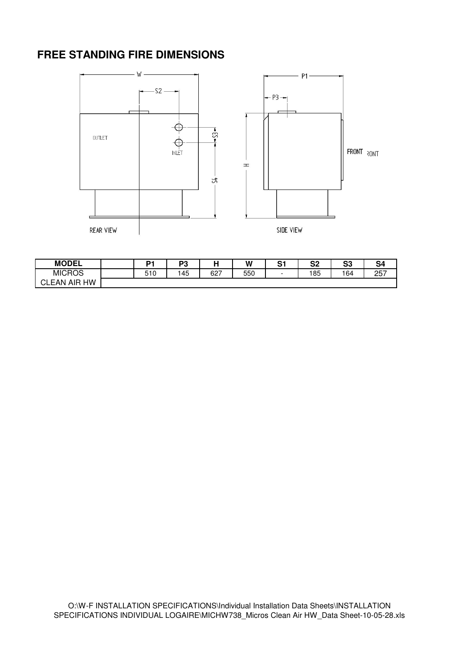#### **FREE STANDING FIRE DIMENSIONS**



| <b>MODEL</b>         | D,  | DC.<br>ی - |     | W   | ົ<br>ັ | ິ<br>ວ∠ | c.<br>vv. | S4         |
|----------------------|-----|------------|-----|-----|--------|---------|-----------|------------|
| <b>MICROS</b>        | 510 | 145        | 627 | 550 | -      | 185     | 164       | つにつ<br>، ب |
| . HW<br>CLEAN<br>AIR |     |            |     |     |        |         |           |            |